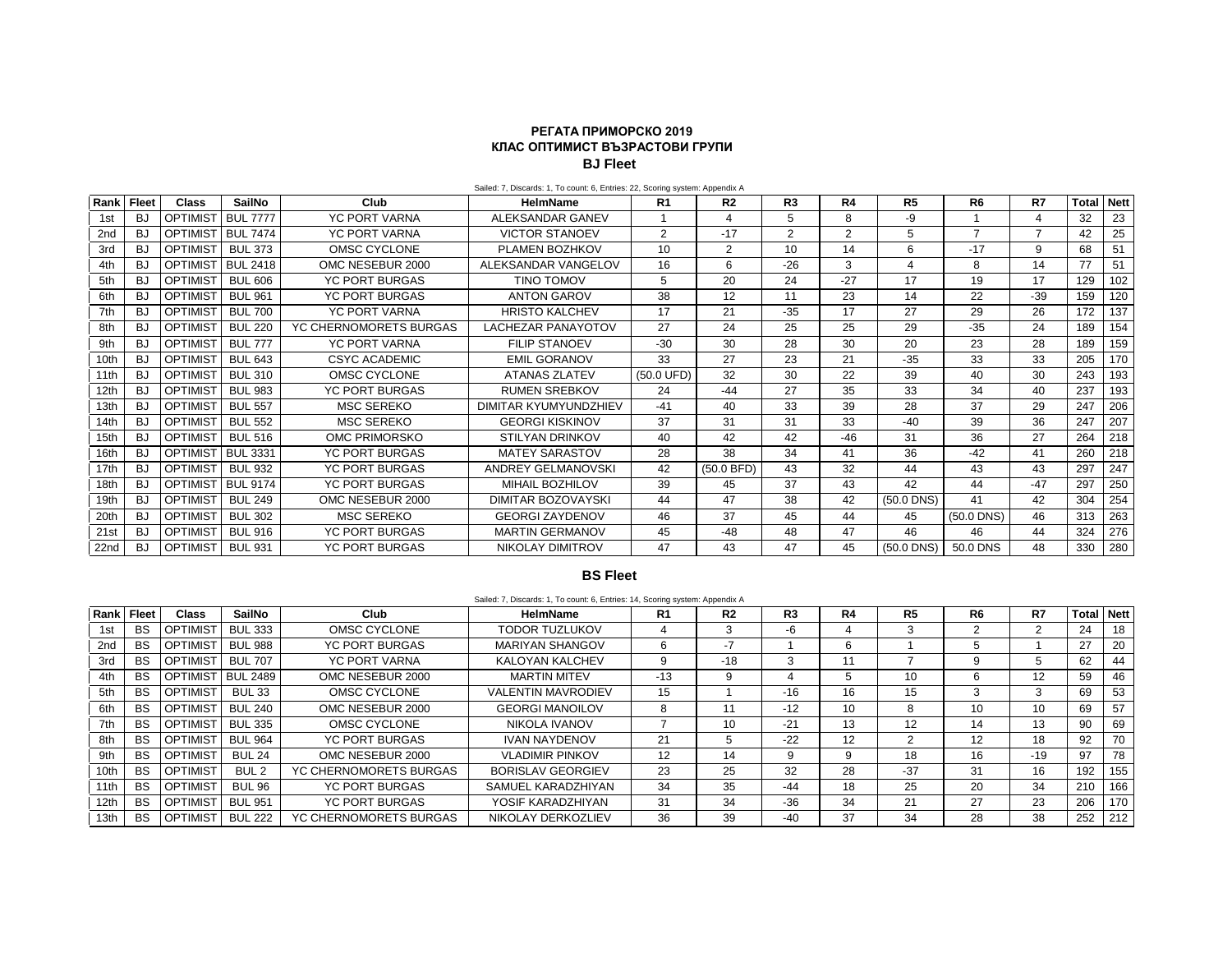## **РЕГАТА ПРИМОРСКО 2019 КЛАС ОПТИМИСТ ВЪЗРАСТОВИ ГРУПИ BJ Fleet**

| Rank             | <b>Fleet</b> | <b>Class</b>    | <b>SailNo</b>   | Club                   | <b>HelmName</b>           | R <sub>1</sub>       | R <sub>2</sub> | R <sub>3</sub> | R4    | R <sub>5</sub> | R6             | R7             | <b>Total</b> | <b>Nett</b> |
|------------------|--------------|-----------------|-----------------|------------------------|---------------------------|----------------------|----------------|----------------|-------|----------------|----------------|----------------|--------------|-------------|
| 1st              | BJ           | <b>OPTIMIST</b> | <b>BUL 7777</b> | <b>YC PORT VARNA</b>   | ALEKSANDAR GANEV          |                      | 4              | 5              | 8     | -9             |                | 4              | 32           | 23          |
| 2 <sub>nd</sub>  | <b>BJ</b>    | <b>OPTIMIST</b> | <b>BUL 7474</b> | <b>YC PORT VARNA</b>   | <b>VICTOR STANOEV</b>     | 2                    | $-17$          | $\overline{2}$ | 2     | 5              | $\overline{7}$ | $\overline{7}$ | 42           | 25          |
| 3rd              | BJ           | <b>OPTIMIST</b> | <b>BUL 373</b>  | OMSC CYCLONE           | PLAMEN BOZHKOV            | 10                   | $\overline{2}$ | 10             | 14    | 6              | $-17$          | 9              | 68           | 51          |
| 4th              | <b>BJ</b>    | <b>OPTIMIST</b> | <b>BUL 2418</b> | OMC NESEBUR 2000       | ALEKSANDAR VANGELOV       | 16                   | 6              | $-26$          | 3     | 4              | 8              | 14             | 77           | 51          |
| 5th              | B.           | <b>OPTIMIST</b> | <b>BUL 606</b>  | <b>YC PORT BURGAS</b>  | TINO TOMOV                | 5                    | 20             | 24             | $-27$ | 17             | 19             | 17             | 129          | 102         |
| 6th              | B.           | <b>OPTIMIST</b> | <b>BUL 961</b>  | <b>YC PORT BURGAS</b>  | <b>ANTON GAROV</b>        | 38                   | 12             | 11             | 23    | 14             | 22             | $-39$          | 159          | 120         |
| 7th              | BJ           | <b>OPTIMIST</b> | <b>BUL 700</b>  | <b>YC PORT VARNA</b>   | <b>HRISTO KALCHEV</b>     | 17                   | 21             | $-35$          | 17    | 27             | 29             | 26             | 172          | 137         |
| 8th              | <b>BJ</b>    | <b>OPTIMIST</b> | <b>BUL 220</b>  | YC CHERNOMORETS BURGAS | <b>LACHEZAR PANAYOTOV</b> | 27                   | 24             | 25             | 25    | 29             | $-35$          | 24             | 189          | 154         |
| 9th              | BJ           | <b>OPTIMIST</b> | <b>BUL 777</b>  | <b>YC PORT VARNA</b>   | <b>FILIP STANOEV</b>      | $-30$                | 30             | 28             | 30    | 20             | 23             | 28             | 189          | 159         |
| 10th             | BJ           | <b>OPTIMIST</b> | <b>BUL 643</b>  | <b>CSYC ACADEMIC</b>   | <b>EMIL GORANOV</b>       | 33                   | 27             | 23             | 21    | $-35$          | 33             | 33             | 205          | 170         |
| 11th             | В.           | <b>OPTIMIST</b> | <b>BUL 310</b>  | OMSC CYCLONE           | <b>ATANAS ZLATEV</b>      | $(50.0 \text{ UFD})$ | 32             | 30             | 22    | 39             | 40             | 30             | 243          | 193         |
| 12 <sub>th</sub> | В.           | <b>OPTIMIST</b> | <b>BUL 983</b>  | <b>YC PORT BURGAS</b>  | <b>RUMEN SREBKOV</b>      | 24                   | $-44$          | 27             | 35    | 33             | 34             | 40             | 237          | 193         |
| 13th             | <b>B.</b>    | <b>OPTIMIST</b> | <b>BUL 557</b>  | <b>MSC SEREKO</b>      | DIMITAR KYUMYUNDZHIEV     | $-41$                | 40             | 33             | 39    | 28             | 37             | 29             | 247          | 206         |
| 14th             | BJ           | <b>OPTIMIST</b> | <b>BUL 552</b>  | <b>MSC SEREKO</b>      | <b>GEORGI KISKINOV</b>    | 37                   | 31             | 31             | 33    | $-40$          | 39             | 36             | 247          | 207         |
| 15th             | B.           | <b>OPTIMIST</b> | <b>BUL 516</b>  | OMC PRIMORSKO          | <b>STILYAN DRINKOV</b>    | 40                   | 42             | 42             | $-46$ | 31             | 36             | 27             | 264          | 218         |
| 16th             | BJ           | <b>OPTIMIST</b> | <b>BUL 3331</b> | <b>YC PORT BURGAS</b>  | <b>MATEY SARASTOV</b>     | 28                   | 38             | 34             | 41    | 36             | $-42$          | 41             | 260          | 218         |
| 17th             | B.           | <b>OPTIMIST</b> | <b>BUL 932</b>  | YC PORT BURGAS         | <b>ANDREY GELMANOVSKI</b> | 42                   | (50.0 BFD)     | 43             | 32    | 44             | 43             | 43             | 297          | 247         |
| 18th             | BJ           | <b>OPTIMIST</b> | <b>BUL 9174</b> | <b>YC PORT BURGAS</b>  | <b>MIHAIL BOZHILOV</b>    | 39                   | 45             | 37             | 43    | 42             | 44             | $-47$          | 297          | 250         |
| 19th             | <b>B.</b>    | <b>OPTIMIST</b> | <b>BUL 249</b>  | OMC NESEBUR 2000       | <b>DIMITAR BOZOVAYSKI</b> | 44                   | 47             | 38             | 42    | $(50.0$ DNS)   | 41             | 42             | 304          | 254         |
| 20th             | <b>BJ</b>    | <b>OPTIMIST</b> | <b>BUL 302</b>  | <b>MSC SEREKO</b>      | <b>GEORGI ZAYDENOV</b>    | 46                   | 37             | 45             | 44    | 45             | $(50.0$ DNS)   | 46             | 313          | 263         |
| 21st             | BJ           | <b>OPTIMIST</b> | <b>BUL 916</b>  | <b>YC PORT BURGAS</b>  | <b>MARTIN GERMANOV</b>    | 45                   | $-48$          | 48             | 47    | 46             | 46             | 44             | 324          | 276         |
| 22nd             | BJ           | <b>OPTIMIST</b> | <b>BUL 931</b>  | <b>YC PORT BURGAS</b>  | NIKOLAY DIMITROV          | 47                   | 43             | 47             | 45    | $(50.0$ DNS)   | 50.0 DNS       | 48             | 330          | 280         |

#### Sailed: 7, Discards: 1, To count: 6, Entries: 22, Scoring system: Appendix A

# **BS Fleet**

|      | Sailed: 7, Discards: 1, To count: 6, Entries: 14, Scoring system: Appendix A |                 |                  |                        |                           |                |                |       |    |                |    |       |              |             |  |
|------|------------------------------------------------------------------------------|-----------------|------------------|------------------------|---------------------------|----------------|----------------|-------|----|----------------|----|-------|--------------|-------------|--|
| Rank | <b>Fleet</b>                                                                 | <b>Class</b>    | SailNo           | Club                   | <b>HelmName</b>           | R <sub>1</sub> | R <sub>2</sub> | R3    | R4 | R <sub>5</sub> | R6 | R7    | <b>Total</b> | <b>Nett</b> |  |
| 1st  | BS                                                                           | <b>OPTIMIST</b> | <b>BUL 333</b>   | OMSC CYCLONE           | <b>TODOR TUZLUKOV</b>     |                |                | -6    |    |                |    |       | 24           | 18          |  |
| 2nd  | <b>BS</b>                                                                    | <b>OPTIMIST</b> | <b>BUL 988</b>   | <b>YC PORT BURGAS</b>  | <b>MARIYAN SHANGOV</b>    | 6              | $-7$           |       | 6  |                |    |       | 27           | 20          |  |
| 3rd  | <b>BS</b>                                                                    | <b>OPTIMIST</b> | <b>BUL 707</b>   | <b>YC PORT VARNA</b>   | <b>KALOYAN KALCHEV</b>    | 9              | $-18$          | 3     | 11 |                | 9  | 5.    | 62           | 44          |  |
| 4th  | <b>BS</b>                                                                    | <b>OPTIMIST</b> | <b>BUL 2489</b>  | OMC NESEBUR 2000       | <b>MARTIN MITEV</b>       | $-13$          |                | 4     | 5  | 10             | 6  | 12    | 59           | 46          |  |
| 5th  | <b>BS</b>                                                                    | <b>OPTIMIST</b> | <b>BUL 33</b>    | OMSC CYCLONE           | <b>VALENTIN MAVRODIEV</b> | 15             |                | $-16$ | 16 | 15             | 3  | 3     | 69           | 53          |  |
| 6th  | <b>BS</b>                                                                    | <b>OPTIMIST</b> | <b>BUL 240</b>   | OMC NESEBUR 2000       | <b>GEORGI MANOILOV</b>    | 8              | 11             | $-12$ | 10 |                | 10 | 10    | 69           | 57          |  |
| 7th  | <b>BS</b>                                                                    | <b>OPTIMIST</b> | <b>BUL 335</b>   | OMSC CYCLONE           | <b>NIKOLA IVANOV</b>      |                | 10             | $-21$ | 13 | 12             | 14 | 13    | 90           | 69          |  |
| 8th  | BS.                                                                          | <b>OPTIMIST</b> | <b>BUL 964</b>   | <b>YC PORT BURGAS</b>  | <b>IVAN NAYDENOV</b>      | 21             |                | $-22$ | 12 |                | 12 | 18    | 92           | 70          |  |
| 9th  | BS                                                                           | <b>OPTIMIST</b> | <b>BUL 24</b>    | OMC NESEBUR 2000       | <b>VLADIMIR PINKOV</b>    | 12             | 14             | 9     | 9  | 18             | 16 | $-19$ | 97           | 78          |  |
| 10th | BS.                                                                          | OPTIMIST        | BUL <sub>2</sub> | YC CHERNOMORETS BURGAS | <b>BORISLAV GEORGIEV</b>  | 23             | 25             | 32    | 28 | $-37$          | 31 | 16    | 192          | 155         |  |
| 11th | <b>BS</b>                                                                    | <b>OPTIMIST</b> | <b>BUL 96</b>    | <b>YC PORT BURGAS</b>  | SAMUEL KARADZHIYAN        | 34             | 35             | $-44$ | 18 | 25             | 20 | 34    | 210          | 166         |  |
| 12th | BS                                                                           | <b>OPTIMIST</b> | <b>BUL 951</b>   | <b>YC PORT BURGAS</b>  | YOSIF KARADZHIYAN         | 31             | 34             | $-36$ | 34 | 21             | 27 | 23    | 206          | 170         |  |
| 13th | BS                                                                           | <b>OPTIMIST</b> | <b>BUL 222</b>   | YC CHERNOMORETS BURGAS | NIKOLAY DERKOZLIEV        | 36             | 39             | $-40$ | 37 | 34             | 28 | 38    | 252          | 212         |  |